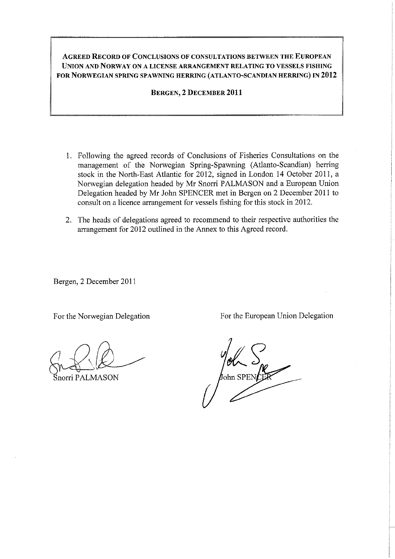## **AGREED RECORD OF CONCLUSIONS OF CONSULTATIONS BETWEEN THE EUROPEAN UNION AND NORWAY ON A LICENSE ARRANGEMENT RELATING TO VESSELS FISHING FOR NORWEGIAN SPRING SPAWNING HERRING (ATLANTO-SCANDIAN HERRING) IN 2012**

**BERGEN, 2 DECEMBER 2011** 

- 1. Following the agreed records of Conclusions of Fisheries Consultations on the management of the Norwegian Spring-Spawning (Atlanto-Scandian) herring stock in the North-East Atlantic for 2012, signed in London 14 October 2011, a Norwegian delegation headed by Mr Snorri PALMASON and a European Union Delegation headed by Mr John SPENCER met in Bergen on 2 December 2011 to consult on a licence arrangement for vessels fishing for this stock in 2012.
- 2. The heads of delegations agreed to recommend to their respective authorities the arrangement for 2012 outlined in the Annex to this Agreed record.

Bergen, 2 December 2011

~~ Snorri P ALMASON

For the Norwegian Delegation For the European Union Delegation

∤<br>¶ohn SPEN